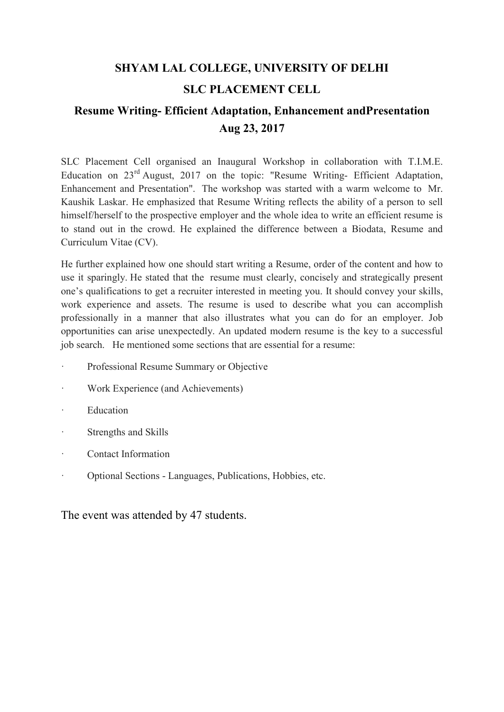## SHYAM LAL COLLEGE, UNIVERSITY OF DELHI SLC PLACEMENT CELL

## Resume Writing- Efficient Adaptation, Enhancement andPresentation Aug 23, 2017

SLC Placement Cell organised an Inaugural Workshop in collaboration with T.I.M.E. Education on 23rd August, 2017 on the topic: "Resume Writing- Efficient Adaptation, Enhancement and Presentation". The workshop was started with a warm welcome to Mr. Kaushik Laskar. He emphasized that Resume Writing reflects the ability of a person to sell himself/herself to the prospective employer and the whole idea to write an efficient resume is to stand out in the crowd. He explained the difference between a Biodata, Resume and Curriculum Vitae (CV).

He further explained how one should start writing a Resume, order of the content and how to use it sparingly. He stated that the resume must clearly, concisely and strategically present one's qualifications to get a recruiter interested in meeting you. It should convey your skills, work experience and assets. The resume is used to describe what you can accomplish professionally in a manner that also illustrates what you can do for an employer. Job opportunities can arise unexpectedly. An updated modern resume is the key to a successful job search. He mentioned some sections that are essential for a resume:

- Professional Resume Summary or Objective
- Work Experience (and Achievements)
- · Education
- Strengths and Skills
- · Contact Information
- · Optional Sections Languages, Publications, Hobbies, etc.

The event was attended by 47 students.